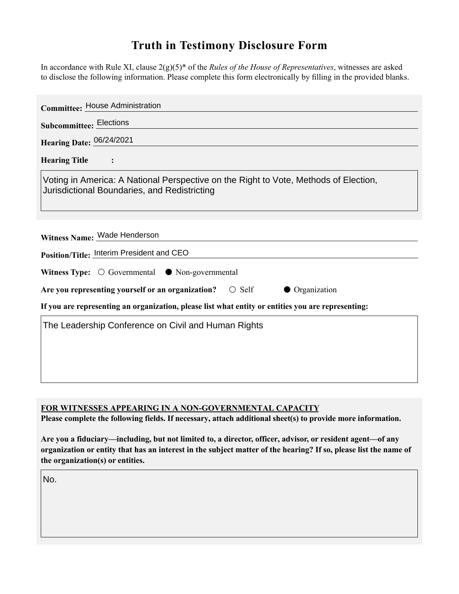## **Truth in Testimony Disclosure Form**

In accordance with Rule XI, clause 2(g)(5)\* of the *Rules of the House of Representatives*, witnesses are asked to disclose the following information. Please complete this form electronically by filling in the provided blanks.

| <b>Committee: House Administration</b>                                                                                               |
|--------------------------------------------------------------------------------------------------------------------------------------|
| <b>Subcommittee: Elections</b>                                                                                                       |
| Hearing Date: 06/24/2021                                                                                                             |
| <b>Hearing Title</b><br>$\ddot{\cdot}$                                                                                               |
| Voting in America: A National Perspective on the Right to Vote, Methods of Election,<br>Jurisdictional Boundaries, and Redistricting |
| Witness Name: Wade Henderson                                                                                                         |
| Position/Title: Interim President and CEO                                                                                            |
| Witness Type: $\bigcirc$ Governmental $\bullet$ Non-governmental                                                                     |
| Are you representing yourself or an organization?<br>$\bigcirc$ Self<br>• Organization                                               |
| If you are representing an organization, please list what entity or entities you are representing:                                   |
| The Leadership Conference on Civil and Human Rights                                                                                  |
|                                                                                                                                      |
|                                                                                                                                      |
|                                                                                                                                      |

**FOR WITNESSES APPEARING IN A NON-GOVERNMENTAL CAPACITY**

**Please complete the following fields. If necessary, attach additional sheet(s) to provide more information.**

**Are you a fiduciary—including, but not limited to, a director, officer, advisor, or resident agent—of any organization or entity that has an interest in the subject matter of the hearing? If so, please list the name of the organization(s) or entities.**

No.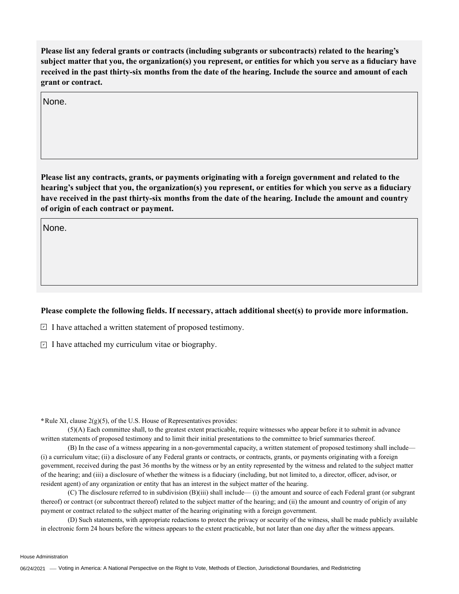**Please list any federal grants or contracts (including subgrants or subcontracts) related to the hearing's subject matter that you, the organization(s) you represent, or entities for which you serve as a fiduciary have received in the past thirty-six months from the date of the hearing. Include the source and amount of each grant or contract.** 

None.

**Please list any contracts, grants, or payments originating with a foreign government and related to the hearing's subject that you, the organization(s) you represent, or entities for which you serve as a fiduciary have received in the past thirty-six months from the date of the hearing. Include the amount and country of origin of each contract or payment.** 

None.

## **Please complete the following fields. If necessary, attach additional sheet(s) to provide more information.**

 $\exists$  I have attached a written statement of proposed testimony.

 $\subseteq$  I have attached my curriculum vitae or biography.

**\***Rule XI, clause 2(g)(5), of the U.S. House of Representatives provides:

(5)(A) Each committee shall, to the greatest extent practicable, require witnesses who appear before it to submit in advance written statements of proposed testimony and to limit their initial presentations to the committee to brief summaries thereof.

(B) In the case of a witness appearing in a non-governmental capacity, a written statement of proposed testimony shall include— (i) a curriculum vitae; (ii) a disclosure of any Federal grants or contracts, or contracts, grants, or payments originating with a foreign government, received during the past 36 months by the witness or by an entity represented by the witness and related to the subject matter of the hearing; and (iii) a disclosure of whether the witness is a fiduciary (including, but not limited to, a director, officer, advisor, or resident agent) of any organization or entity that has an interest in the subject matter of the hearing.

(C) The disclosure referred to in subdivision (B)(iii) shall include— (i) the amount and source of each Federal grant (or subgrant thereof) or contract (or subcontract thereof) related to the subject matter of the hearing; and (ii) the amount and country of origin of any payment or contract related to the subject matter of the hearing originating with a foreign government.

(D) Such statements, with appropriate redactions to protect the privacy or security of the witness, shall be made publicly available in electronic form 24 hours before the witness appears to the extent practicable, but not later than one day after the witness appears.

House Administration